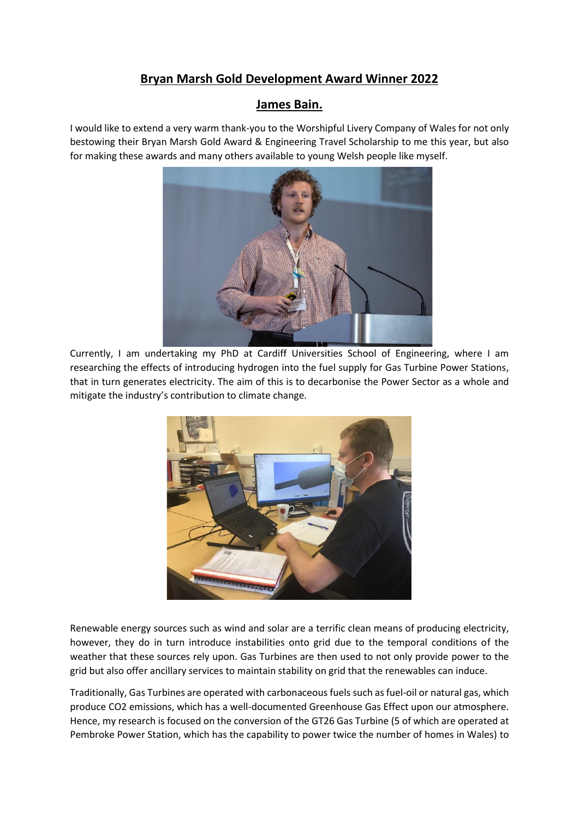## **Bryan Marsh Gold Development Award Winner 2022**

## **James Bain.**

I would like to extend a very warm thank-you to the Worshipful Livery Company of Wales for not only bestowing their Bryan Marsh Gold Award & Engineering Travel Scholarship to me this year, but also for making these awards and many others available to young Welsh people like myself.



Currently, I am undertaking my PhD at Cardiff Universities School of Engineering, where I am researching the effects of introducing hydrogen into the fuel supply for Gas Turbine Power Stations, that in turn generates electricity. The aim of this is to decarbonise the Power Sector as a whole and mitigate the industry's contribution to climate change.



Renewable energy sources such as wind and solar are a terrific clean means of producing electricity, however, they do in turn introduce instabilities onto grid due to the temporal conditions of the weather that these sources rely upon. Gas Turbines are then used to not only provide power to the grid but also offer ancillary services to maintain stability on grid that the renewables can induce.

Traditionally, Gas Turbines are operated with carbonaceous fuels such as fuel-oil or natural gas, which produce CO2 emissions, which has a well-documented Greenhouse Gas Effect upon our atmosphere. Hence, my research is focused on the conversion of the GT26 Gas Turbine (5 of which are operated at Pembroke Power Station, which has the capability to power twice the number of homes in Wales) to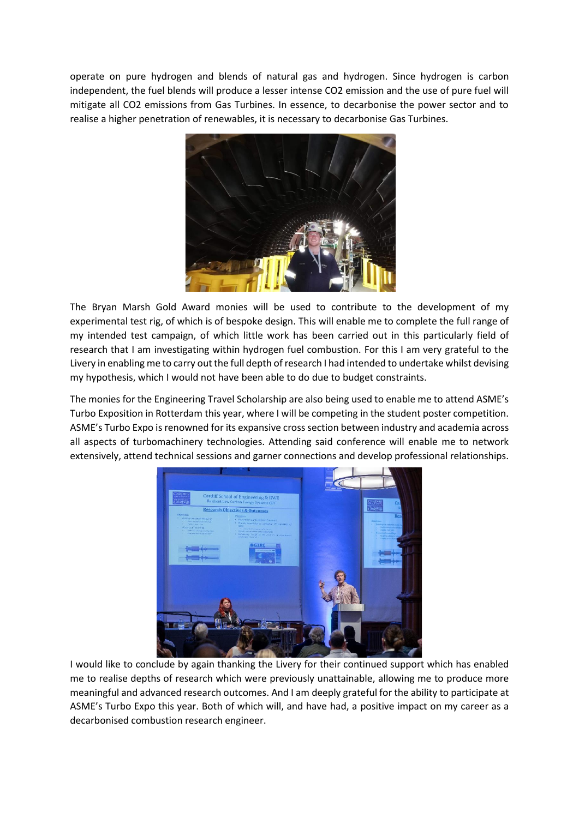operate on pure hydrogen and blends of natural gas and hydrogen. Since hydrogen is carbon independent, the fuel blends will produce a lesser intense CO2 emission and the use of pure fuel will mitigate all CO2 emissions from Gas Turbines. In essence, to decarbonise the power sector and to realise a higher penetration of renewables, it is necessary to decarbonise Gas Turbines.



The Bryan Marsh Gold Award monies will be used to contribute to the development of my experimental test rig, of which is of bespoke design. This will enable me to complete the full range of my intended test campaign, of which little work has been carried out in this particularly field of research that I am investigating within hydrogen fuel combustion. For this I am very grateful to the Livery in enabling me to carry out the full depth of research I had intended to undertake whilst devising my hypothesis, which I would not have been able to do due to budget constraints.

The monies for the Engineering Travel Scholarship are also being used to enable me to attend ASME's Turbo Exposition in Rotterdam this year, where I will be competing in the student poster competition. ASME's Turbo Expo is renowned for its expansive cross section between industry and academia across all aspects of turbomachinery technologies. Attending said conference will enable me to network extensively, attend technical sessions and garner connections and develop professional relationships.



I would like to conclude by again thanking the Livery for their continued support which has enabled me to realise depths of research which were previously unattainable, allowing me to produce more meaningful and advanced research outcomes. And I am deeply grateful for the ability to participate at ASME's Turbo Expo this year. Both of which will, and have had, a positive impact on my career as a decarbonised combustion research engineer.